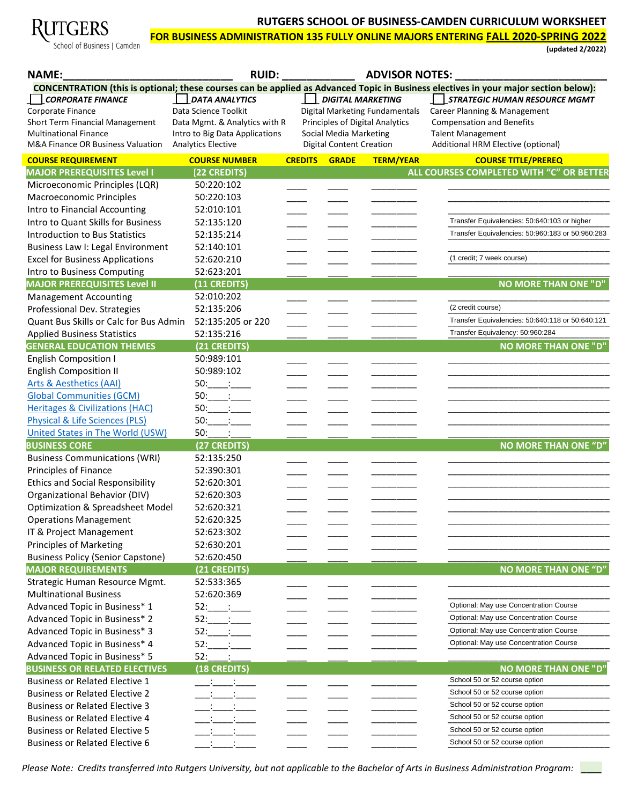# GERS

School of Business | Camden

## **RUTGERS SCHOOL OF BUSINESS-CAMDEN CURRICULUM WORKSHEET**

**FOR BUSINESS ADMINISTRATION 135 FULLY ONLINE MAJORS ENTERING FALL 2020-SPRING 2022** 

**(updated 2/2022)** 

| <b>NAME:</b>                                                                  | <b>RUID:</b>                     |                |                                 | <b>ADVISOR NOTES:</b>                  |                                                                                                                                     |
|-------------------------------------------------------------------------------|----------------------------------|----------------|---------------------------------|----------------------------------------|-------------------------------------------------------------------------------------------------------------------------------------|
|                                                                               |                                  |                |                                 |                                        | CONCENTRATION (this is optional; these courses can be applied as Advanced Topic in Business electives in your major section below): |
| <b>CORPORATE FINANCE</b>                                                      | <b>DATA ANALYTICS</b>            |                | <b>DIGITAL MARKETING</b>        |                                        | STRATEGIC HUMAN RESOURCE MGMT                                                                                                       |
| Corporate Finance                                                             | Data Science Toolkit             |                |                                 | Digital Marketing Fundamentals         | Career Planning & Management                                                                                                        |
| Short Term Financial Management                                               | Data Mgmt. & Analytics with R    |                |                                 | <b>Principles of Digital Analytics</b> | <b>Compensation and Benefits</b>                                                                                                    |
| <b>Multinational Finance</b>                                                  | Intro to Big Data Applications   |                | Social Media Marketing          |                                        | <b>Talent Management</b>                                                                                                            |
| M&A Finance OR Business Valuation                                             | <b>Analytics Elective</b>        |                | <b>Digital Content Creation</b> |                                        | Additional HRM Elective (optional)                                                                                                  |
| <b>COURSE REQUIREMENT</b>                                                     | <b>COURSE NUMBER</b>             | <b>CREDITS</b> | <b>GRADE</b>                    | <b>TERM/YEAR</b>                       | <b>COURSE TITLE/PREREQ</b>                                                                                                          |
| <b>MAJOR PREREQUISITES Level I</b>                                            | (22 CREDITS)                     |                |                                 |                                        | ALL COURSES COMPLETED WITH "C" OR BETTER                                                                                            |
| Microeconomic Principles (LQR)                                                | 50:220:102                       |                |                                 |                                        |                                                                                                                                     |
| <b>Macroeconomic Principles</b>                                               | 50:220:103                       |                |                                 |                                        |                                                                                                                                     |
| Intro to Financial Accounting                                                 | 52:010:101                       |                |                                 |                                        | Transfer Equivalencies: 50:640:103 or higher                                                                                        |
| Intro to Quant Skills for Business                                            | 52:135:120                       |                |                                 |                                        | Transfer Equivalencies: 50:960:183 or 50:960:283                                                                                    |
| Introduction to Bus Statistics                                                | 52:135:214                       |                |                                 |                                        |                                                                                                                                     |
| Business Law I: Legal Environment                                             | 52:140:101                       |                |                                 |                                        |                                                                                                                                     |
| <b>Excel for Business Applications</b>                                        | 52:620:210                       |                |                                 |                                        | (1 credit; 7 week course)                                                                                                           |
| Intro to Business Computing                                                   | 52:623:201                       |                |                                 |                                        |                                                                                                                                     |
| <b>MAJOR PREREQUISITES Level II</b>                                           | (11 CREDITS)                     |                |                                 |                                        | <b>NO MORE THAN ONE "D"</b>                                                                                                         |
| <b>Management Accounting</b>                                                  | 52:010:202                       |                |                                 |                                        | (2 credit course)                                                                                                                   |
| Professional Dev. Strategies                                                  | 52:135:206                       |                |                                 |                                        | Transfer Equivalencies: 50:640:118 or 50:640:121                                                                                    |
| Quant Bus Skills or Calc for Bus Admin                                        | 52:135:205 or 220                |                |                                 |                                        | Transfer Equivalency: 50:960:284                                                                                                    |
| <b>Applied Business Statistics</b>                                            | 52:135:216                       |                |                                 |                                        |                                                                                                                                     |
| <b>GENERAL EDUCATION THEMES</b>                                               | (21 CREDITS)                     |                |                                 |                                        | <b>NO MORE THAN ONE "D"</b>                                                                                                         |
| <b>English Composition I</b>                                                  | 50:989:101                       |                |                                 |                                        |                                                                                                                                     |
| <b>English Composition II</b>                                                 | 50:989:102                       |                |                                 |                                        |                                                                                                                                     |
| <b>Arts &amp; Aesthetics (AAI)</b>                                            | $50:$ :                          |                |                                 |                                        |                                                                                                                                     |
| <b>Global Communities (GCM)</b>                                               | $50:$ :                          |                |                                 |                                        |                                                                                                                                     |
| <b>Heritages &amp; Civilizations (HAC)</b>                                    | 50:<br>50:                       |                |                                 |                                        |                                                                                                                                     |
| <b>Physical &amp; Life Sciences (PLS)</b><br>United States in The World (USW) | 50:                              |                |                                 |                                        |                                                                                                                                     |
| <b>BUSINESS CORE</b>                                                          | (27 CREDITS)                     |                |                                 |                                        | <b>NO MORE THAN ONE "D"</b>                                                                                                         |
| <b>Business Communications (WRI)</b>                                          | 52:135:250                       |                |                                 |                                        |                                                                                                                                     |
| Principles of Finance                                                         | 52:390:301                       |                |                                 |                                        |                                                                                                                                     |
| <b>Ethics and Social Responsibility</b>                                       | 52:620:301                       |                |                                 |                                        |                                                                                                                                     |
| Organizational Behavior (DIV)                                                 | 52:620:303                       |                |                                 |                                        |                                                                                                                                     |
| Optimization & Spreadsheet Model                                              | 52:620:321                       |                |                                 |                                        |                                                                                                                                     |
| <b>Operations Management</b>                                                  | 52:620:325                       |                |                                 |                                        |                                                                                                                                     |
| IT & Project Management                                                       | 52:623:302                       |                |                                 |                                        |                                                                                                                                     |
| <b>Principles of Marketing</b>                                                | 52:630:201                       |                |                                 |                                        |                                                                                                                                     |
| <b>Business Policy (Senior Capstone)</b>                                      | 52:620:450                       |                |                                 |                                        |                                                                                                                                     |
| <b>MAJOR REQUIREMENTS</b>                                                     | (21 CREDITS)                     |                |                                 |                                        | <b>NO MORE THAN ONE "D"</b>                                                                                                         |
| Strategic Human Resource Mgmt.                                                | 52:533:365                       |                |                                 |                                        |                                                                                                                                     |
| <b>Multinational Business</b>                                                 | 52:620:369                       |                |                                 |                                        |                                                                                                                                     |
| Advanced Topic in Business* 1                                                 | $52:$ :                          |                |                                 |                                        | Optional: May use Concentration Course                                                                                              |
| Advanced Topic in Business* 2                                                 | $\sim 10^{10}$ km $^{-1}$<br>52: |                |                                 |                                        | Optional: May use Concentration Course                                                                                              |
| Advanced Topic in Business* 3                                                 | 52:                              |                |                                 |                                        | Optional: May use Concentration Course                                                                                              |
| Advanced Topic in Business* 4                                                 | 52:                              |                |                                 |                                        | Optional: May use Concentration Course                                                                                              |
| Advanced Topic in Business* 5                                                 | 52:                              |                |                                 |                                        |                                                                                                                                     |
| <b>BUSINESS OR RELATED ELECTIVES</b>                                          | (18 CREDITS)                     |                |                                 |                                        | <b>NO MORE THAN ONE "D"</b>                                                                                                         |
| <b>Business or Related Elective 1</b>                                         |                                  |                |                                 |                                        | School 50 or 52 course option                                                                                                       |
| <b>Business or Related Elective 2</b>                                         |                                  |                |                                 |                                        | School 50 or 52 course option                                                                                                       |
| <b>Business or Related Elective 3</b>                                         |                                  |                |                                 |                                        | School 50 or 52 course option                                                                                                       |
| <b>Business or Related Elective 4</b>                                         |                                  |                |                                 |                                        | School 50 or 52 course option                                                                                                       |
| <b>Business or Related Elective 5</b>                                         |                                  |                |                                 |                                        | School 50 or 52 course option                                                                                                       |
| <b>Business or Related Elective 6</b>                                         |                                  |                |                                 |                                        | School 50 or 52 course option                                                                                                       |
|                                                                               |                                  |                |                                 |                                        |                                                                                                                                     |

*Please Note: Credits transferred into Rutgers University, but not applicable to the Bachelor of Arts in Business Administration Program: \_\_\_\_*